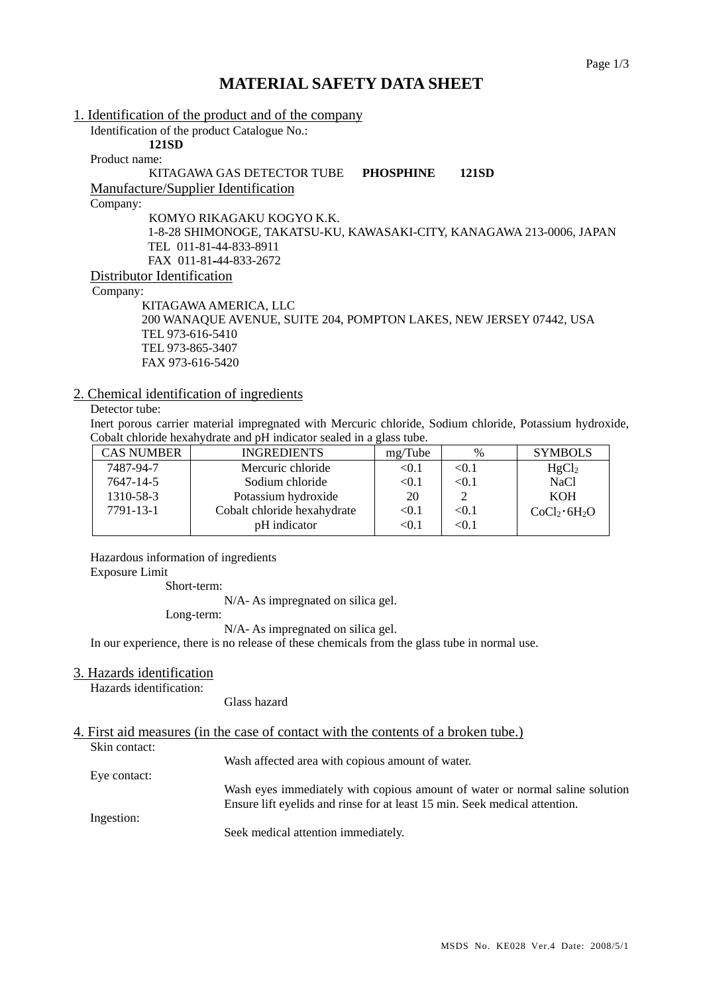# **MATERIAL SAFETY DATA SHEET**

| 1. Identification of the product and of the company                   |
|-----------------------------------------------------------------------|
| Identification of the product Catalogue No.:                          |
| 121SD                                                                 |
| Product name:                                                         |
| KITAGAWA GAS DETECTOR TUBE<br><b>PHOSPHINE</b><br>121SD               |
| Manufacture/Supplier Identification                                   |
| Company:                                                              |
| KOMYO RIKAGAKU KOGYO K.K.                                             |
| 1-8-28 SHIMONOGE, TAKATSU-KU, KAWASAKI-CITY, KANAGAWA 213-0006, JAPAN |
| TEL 011-81-44-833-8911                                                |
| FAX 011-81-44-833-2672                                                |
| Distributor Identification                                            |
| Company:                                                              |
| KITAGAWA AMERICA, LLC                                                 |
| 200 WANAQUE AVENUE, SUITE 204, POMPTON LAKES, NEW JERSEY 07442, USA   |
| TEL 973-616-5410                                                      |
| TEL 973-865-3407                                                      |

## 2. Chemical identification of ingredients

FAX 973-616-5420

## Detector tube:

Inert porous carrier material impregnated with Mercuric chloride, Sodium chloride, Potassium hydroxide, Cobalt chloride hexahydrate and pH indicator sealed in a glass tube.

| <b>CAS NUMBER</b> | <b>INGREDIENTS</b>          | mg/Tube      | $\%$  | <b>SYMBOLS</b>                       |
|-------------------|-----------------------------|--------------|-------|--------------------------------------|
| 7487-94-7         | Mercuric chloride           | $<$ 0.1 $\,$ | < 0.1 | HgCl <sub>2</sub>                    |
| 7647-14-5         | Sodium chloride             | < 0.1        | < 0.1 | <b>NaCl</b>                          |
| 1310-58-3         | Potassium hydroxide         | 20           |       | <b>KOH</b>                           |
| 7791-13-1         | Cobalt chloride hexahydrate | < 0.1        | < 0.1 | CoCl <sub>2</sub> ·6H <sub>2</sub> O |
|                   | pH indicator                | <0.1         | <0.1  |                                      |

Hazardous information of ingredients Exposure Limit

Short-term:

N/A- As impregnated on silica gel.

Long-term:

N/A- As impregnated on silica gel.

In our experience, there is no release of these chemicals from the glass tube in normal use.

#### 3. Hazards identification

Hazards identification:

Glass hazard

## 4. First aid measures (in the case of contact with the contents of a broken tube.) Skin contact:

Wash affected area with copious amount of water. Eye contact:

> Wash eyes immediately with copious amount of water or normal saline solution Ensure lift eyelids and rinse for at least 15 min. Seek medical attention.

Ingestion:

Seek medical attention immediately.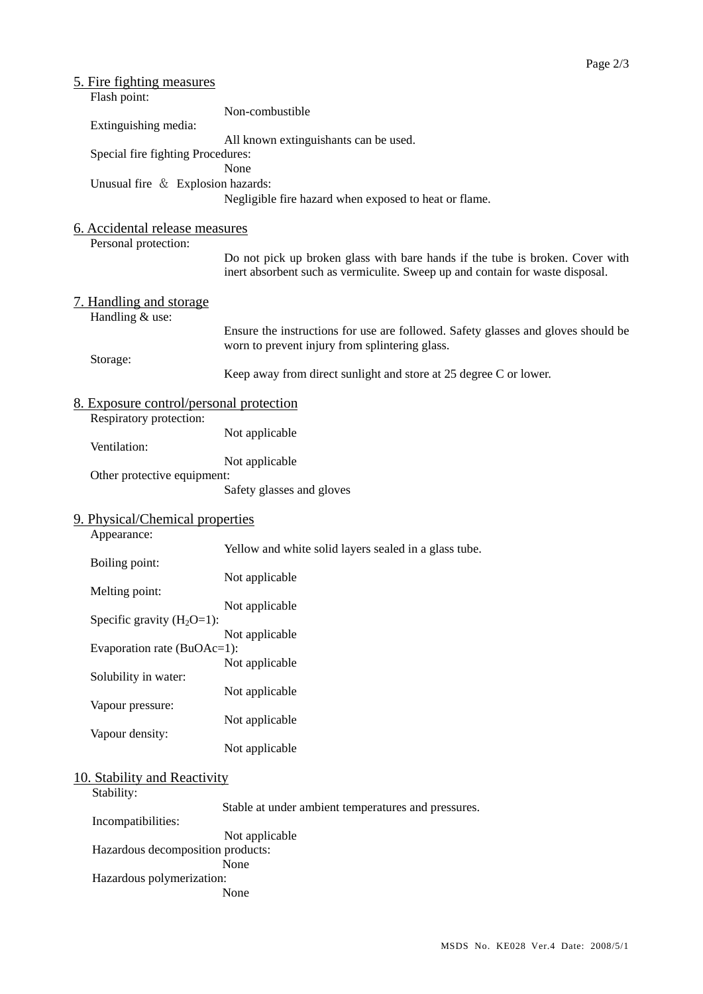| <u>5. Fire fighting measures</u><br>Flash point:                   |                                                                                                                                                                |
|--------------------------------------------------------------------|----------------------------------------------------------------------------------------------------------------------------------------------------------------|
| Extinguishing media:                                               | Non-combustible                                                                                                                                                |
| Special fire fighting Procedures:                                  | All known extinguishants can be used.                                                                                                                          |
| Unusual fire & Explosion hazards:                                  | None                                                                                                                                                           |
| 6. Accidental release measures                                     | Negligible fire hazard when exposed to heat or flame.                                                                                                          |
| Personal protection:                                               | Do not pick up broken glass with bare hands if the tube is broken. Cover with<br>inert absorbent such as vermiculite. Sweep up and contain for waste disposal. |
| 7. Handling and storage<br>Handling & use:                         |                                                                                                                                                                |
|                                                                    | Ensure the instructions for use are followed. Safety glasses and gloves should be<br>worn to prevent injury from splintering glass.                            |
| Storage:                                                           | Keep away from direct sunlight and store at 25 degree C or lower.                                                                                              |
| 8. Exposure control/personal protection<br>Respiratory protection: |                                                                                                                                                                |
| Ventilation:                                                       | Not applicable                                                                                                                                                 |
| Other protective equipment:                                        | Not applicable                                                                                                                                                 |
|                                                                    | Safety glasses and gloves                                                                                                                                      |
| 9. Physical/Chemical properties<br>Appearance:                     |                                                                                                                                                                |
| Boiling point:                                                     | Yellow and white solid layers sealed in a glass tube.                                                                                                          |
| Melting point:                                                     | Not applicable                                                                                                                                                 |
| Specific gravity $(H_2O=1)$ :                                      | Not applicable                                                                                                                                                 |
| Evaporation rate (BuOAc=1):                                        | Not applicable                                                                                                                                                 |
| Solubility in water:                                               | Not applicable<br>Not applicable                                                                                                                               |
| Vapour pressure:                                                   | Not applicable                                                                                                                                                 |
| Vapour density:                                                    | Not applicable                                                                                                                                                 |
| 10. Stability and Reactivity                                       |                                                                                                                                                                |
| Stability:<br>Incompatibilities:                                   | Stable at under ambient temperatures and pressures.                                                                                                            |
| Hazardous decomposition products:                                  | Not applicable                                                                                                                                                 |
| Hazardous polymerization:                                          | None<br>None                                                                                                                                                   |